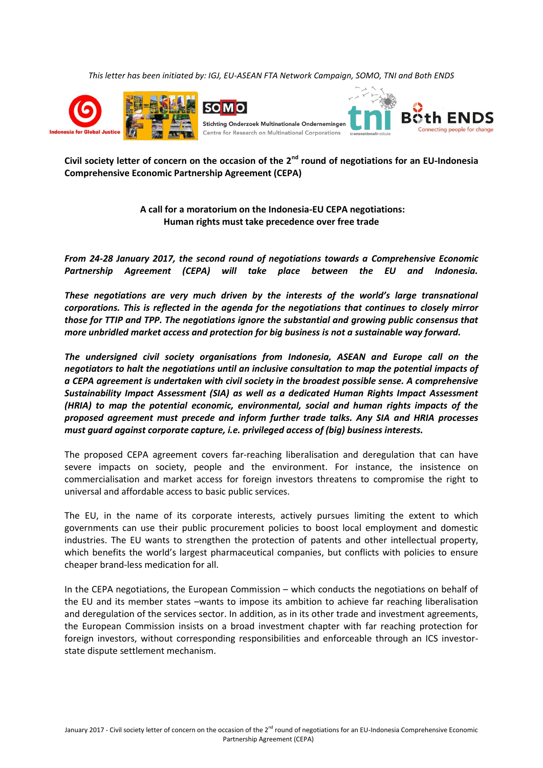*This letter has been initiated by: IGJ, EU-ASEAN FTA Network Campaign, SOMO, TNI and Both ENDS*



**Civil society letter of concern on the occasion of the 2nd round of negotiations for an EU-Indonesia Comprehensive Economic Partnership Agreement (CEPA)**

> **A call for a moratorium on the Indonesia-EU CEPA negotiations: Human rights must take precedence over free trade**

*From 24-28 January 2017, the second round of negotiations towards a Comprehensive Economic Partnership Agreement (CEPA) will take place between the EU and Indonesia.*

*These negotiations are very much driven by the interests of the world's large transnational corporations. This is reflected in the agenda for the negotiations that continues to closely mirror those for TTIP and TPP. The negotiations ignore the substantial and growing public consensus that more unbridled market access and protection for big business is not a sustainable way forward.*

*The undersigned civil society organisations from Indonesia, ASEAN and Europe call on the negotiators to halt the negotiations until an inclusive consultation to map the potential impacts of a CEPA agreement is undertaken with civil society in the broadest possible sense. A comprehensive Sustainability Impact Assessment (SIA) as well as a dedicated Human Rights Impact Assessment (HRIA) to map the potential economic, environmental, social and human rights impacts of the proposed agreement must precede and inform further trade talks. Any SIA and HRIA processes must guard against corporate capture, i.e. privileged access of (big) business interests.* 

The proposed CEPA agreement covers far-reaching liberalisation and deregulation that can have severe impacts on society, people and the environment. For instance, the insistence on commercialisation and market access for foreign investors threatens to compromise the right to universal and affordable access to basic public services.

The EU, in the name of its corporate interests, actively pursues limiting the extent to which governments can use their public procurement policies to boost local employment and domestic industries. The EU wants to strengthen the protection of patents and other intellectual property, which benefits the world's largest pharmaceutical companies, but conflicts with policies to ensure cheaper brand-less medication for all.

In the CEPA negotiations, the European Commission – which conducts the negotiations on behalf of the EU and its member states –wants to impose its ambition to achieve far reaching liberalisation and deregulation of the services sector. In addition, as in its other trade and investment agreements, the European Commission insists on a broad investment chapter with far reaching protection for foreign investors, without corresponding responsibilities and enforceable through an ICS investorstate dispute settlement mechanism.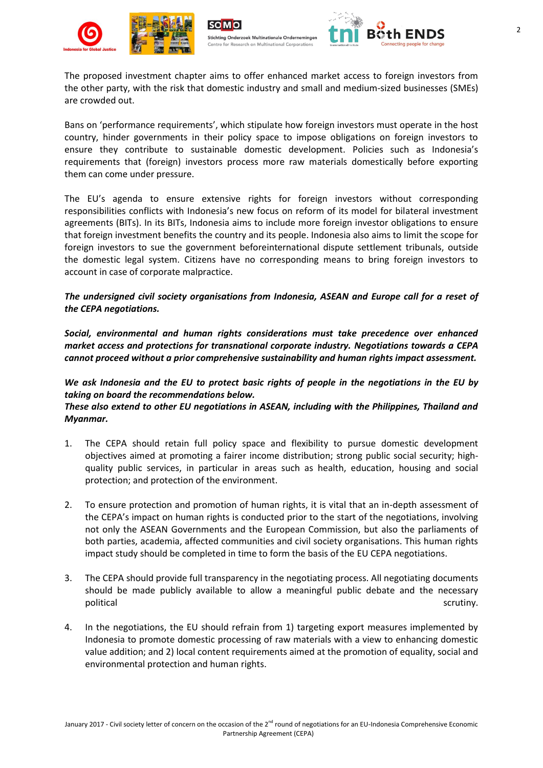





The proposed investment chapter aims to offer enhanced market access to foreign investors from the other party, with the risk that domestic industry and small and medium-sized businesses (SMEs) are crowded out.

Bans on 'performance requirements', which stipulate how foreign investors must operate in the host country, hinder governments in their policy space to impose obligations on foreign investors to ensure they contribute to sustainable domestic development. Policies such as Indonesia's requirements that (foreign) investors process more raw materials domestically before exporting them can come under pressure.

The EU's agenda to ensure extensive rights for foreign investors without corresponding responsibilities conflicts with Indonesia's new focus on reform of its model for bilateral investment agreements (BITs). In its BITs, Indonesia aims to include more foreign investor obligations to ensure that foreign investment benefits the country and its people. Indonesia also aims to limit the scope for foreign investors to sue the government beforeinternational dispute settlement tribunals, outside the domestic legal system. Citizens have no corresponding means to bring foreign investors to account in case of corporate malpractice.

## *The undersigned civil society organisations from Indonesia, ASEAN and Europe call for a reset of the CEPA negotiations.*

*Social, environmental and human rights considerations must take precedence over enhanced market access and protections for transnational corporate industry. Negotiations towards a CEPA cannot proceed without a prior comprehensive sustainability and human rights impact assessment.*

*We ask Indonesia and the EU to protect basic rights of people in the negotiations in the EU by taking on board the recommendations below.* 

*These also extend to other EU negotiations in ASEAN, including with the Philippines, Thailand and Myanmar.*

- 1. The CEPA should retain full policy space and flexibility to pursue domestic development objectives aimed at promoting a fairer income distribution; strong public social security; highquality public services, in particular in areas such as health, education, housing and social protection; and protection of the environment.
- 2. To ensure protection and promotion of human rights, it is vital that an in-depth assessment of the CEPA's impact on human rights is conducted prior to the start of the negotiations, involving not only the ASEAN Governments and the European Commission, but also the parliaments of both parties, academia, affected communities and civil society organisations. This human rights impact study should be completed in time to form the basis of the EU CEPA negotiations.
- 3. The CEPA should provide full transparency in the negotiating process. All negotiating documents should be made publicly available to allow a meaningful public debate and the necessary political scrutiny. The scruting of the scruting scruting scruting scruting scruting scruting scruting scruting
- 4. In the negotiations, the EU should refrain from 1) targeting export measures implemented by Indonesia to promote domestic processing of raw materials with a view to enhancing domestic value addition; and 2) local content requirements aimed at the promotion of equality, social and environmental protection and human rights.